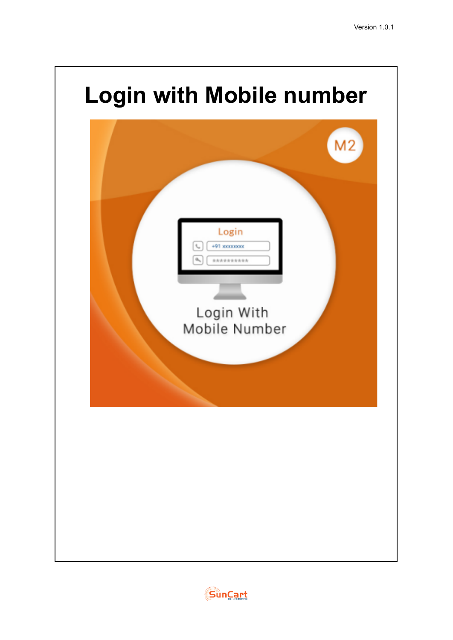

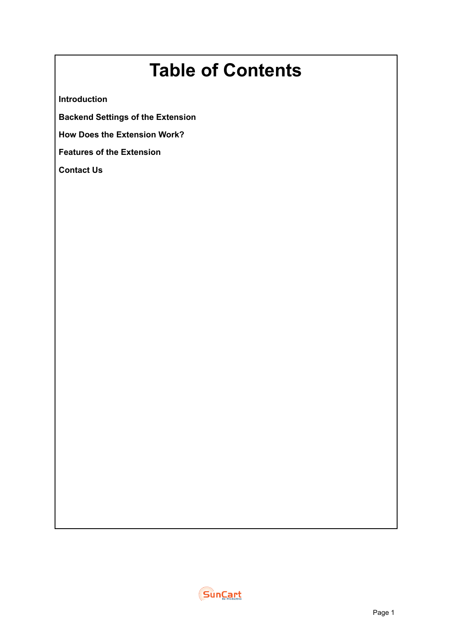# **Table of Contents**

**Introduction**

**Backend Settings of the Extension**

**How Does the Extension Work?**

**Features of the Extension**

**Contact Us**

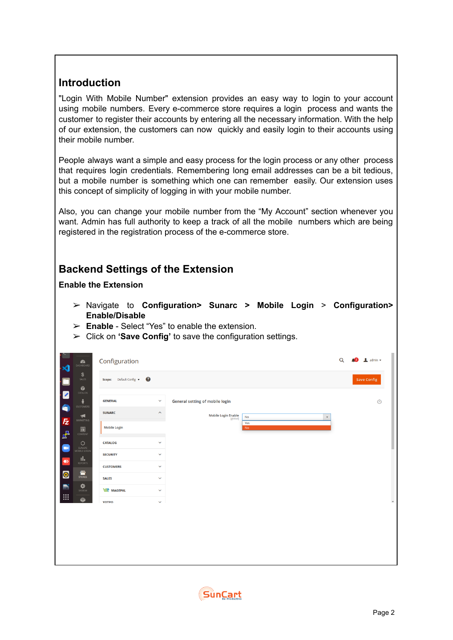# **Introduction**

"Login With Mobile Number" extension provides an easy way to login to your account using mobile numbers. Every e-commerce store requires a login process and wants the customer to register their accounts by entering all the necessary information. With the help of our extension, the customers can now quickly and easily login to their accounts using their mobile number.

People always want a simple and easy process for the login process or any other process that requires login credentials. Remembering long email addresses can be a bit tedious, but a mobile number is something which one can remember easily. Our extension uses this concept of simplicity of logging in with your mobile number.

Also, you can change your mobile number from the "My Account" section whenever you want. Admin has full authority to keep a track of all the mobile numbers which are being registered in the registration process of the e-commerce store.

## **Backend Settings of the Extension**

**Enable the Extension**

- ➢ Navigate to **Configuration> Sunarc > Mobile Login** > **Configuration> Enable/Disable**
- ➢ **Enable** Select "Yes" to enable the extension.
- ➢ Click on **'Save Config'** to save the configuration settings.

| r.<br>$\mathbf{\hat{z}}$                                                             | $\sum_{\text{DASHBOARD}}$                                                                                                                                                                                                                                                                     | Configuration                                                                                                                                         |                                                                                                                         |                                                                                                                        | $\alpha$ | $\bullet$ 2 admin $\bullet$ |                       |
|--------------------------------------------------------------------------------------|-----------------------------------------------------------------------------------------------------------------------------------------------------------------------------------------------------------------------------------------------------------------------------------------------|-------------------------------------------------------------------------------------------------------------------------------------------------------|-------------------------------------------------------------------------------------------------------------------------|------------------------------------------------------------------------------------------------------------------------|----------|-----------------------------|-----------------------|
| $\cdot$ C                                                                            | \$<br>SALES                                                                                                                                                                                                                                                                                   | Scope: Default Config v                                                                                                                               |                                                                                                                         |                                                                                                                        |          | <b>Save Config</b>          |                       |
| $\bullet$<br>E<br>$\mathbf{z}$<br>Q<br>$\color{blue}\blacklozenge$<br>$\bullet$<br>B | $\sum_{\text{CATALOG}}$<br>÷<br>CUSTOMERS<br>$\blacktriangledown$<br>MARKETING<br>$\overline{\mathbf{m}}$ content<br>$\circ$<br>SUNARC<br>MOBILE LOGIN<br>$\underset{\text{reports}}{\prod}$<br>$\begin{array}{c}\n\sqrt{dW}\\ \nSTORES\n\end{array}$<br>$\mathbf{\ddot{\mathbf{Q}}}\text{F}$ | <b>GENERAL</b><br><b>SUNARC</b><br><b>Mobile Login</b><br><b>CATALOG</b><br><b>SECURITY</b><br><b>CUSTOMERS</b><br><b>SALES</b><br><b>WWW</b> MAGEPAL | $\checkmark$<br>$\widehat{\phantom{a}}$<br>$\checkmark$<br>$\checkmark$<br>$\checkmark$<br>$\checkmark$<br>$\checkmark$ | General setting of mobile login<br>Mobile Login Enable<br>[global]<br>$\mathsf{No}$<br>$\pmb{\mathrm{v}}$<br>Yes<br>No |          | $\odot$                     |                       |
| $\mathop{\mathbb{H}}$                                                                | ۱                                                                                                                                                                                                                                                                                             | YOTPO                                                                                                                                                 | $\checkmark$                                                                                                            |                                                                                                                        |          |                             | $\check{\phantom{a}}$ |

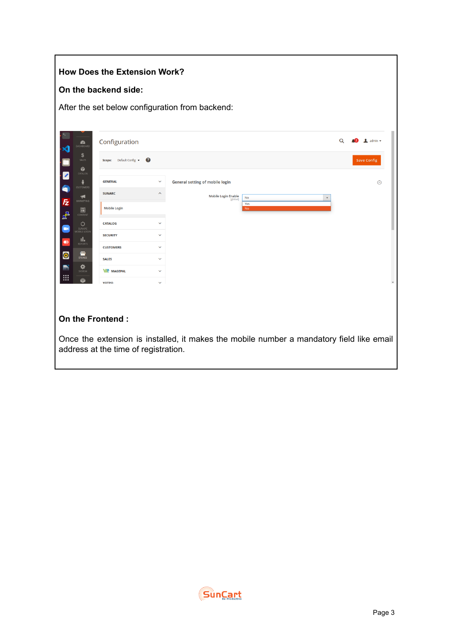### **How Does the Extension Work?**

#### **On the backend side:**

After the set below configuration from backend:

| $\bullet$<br>DASHBOARD                                      | Configuration                        |                         |                                                                                          | Q | A2 | $\frac{1}{2}$ admin $\sim$ |
|-------------------------------------------------------------|--------------------------------------|-------------------------|------------------------------------------------------------------------------------------|---|----|----------------------------|
| \$<br>SALES<br>Ŵ                                            | Scope: Default Config v              | $\boldsymbol{c}$        |                                                                                          |   |    | <b>Save Config</b>         |
| $\overline{\mathbf{z}}$<br>CATALOG<br>÷<br><b>CUSTOMERS</b> | <b>GENERAL</b>                       | $\checkmark$            | General setting of mobile login                                                          |   |    | $\odot$                    |
| Q<br>$\blacktriangleright$<br><b>Fz</b><br>MARKETING        | <b>SUNARC</b>                        | $\widehat{\phantom{a}}$ | <b>Mobile Login Enable</b><br>No<br>$\boldsymbol{\mathrm{v}}$<br>[global]                |   |    |                            |
| $\square$<br>P,<br>CONTENT                                  | <b>Mobile Login</b>                  |                         | Yes<br><b>No</b>                                                                         |   |    |                            |
| 0<br>SUNARC                                                 | <b>CATALOG</b>                       | v                       |                                                                                          |   |    |                            |
| MOBILE LOGIN<br>u.                                          | <b>SECURITY</b>                      | $\checkmark$            |                                                                                          |   |    |                            |
| REPORTS<br><b>EXAMPLE</b>                                   | <b>CUSTOMERS</b>                     | $\checkmark$            |                                                                                          |   |    |                            |
| $\bullet$<br>$\mathbf{\ddot{\mathbf{Q}}}_{\text{system}}$   | <b>SALES</b>                         | $\checkmark$            |                                                                                          |   |    |                            |
| ø                                                           | <b>WWW MAGEPAL</b>                   | $\checkmark$            |                                                                                          |   |    |                            |
|                                                             | <b>YOTPO</b>                         | $\checkmark$            |                                                                                          |   |    |                            |
|                                                             |                                      |                         |                                                                                          |   |    |                            |
|                                                             | On the Frontend:                     |                         |                                                                                          |   |    |                            |
|                                                             | address at the time of registration. |                         | Once the extension is installed, it makes the mobile number a mandatory field like email |   |    |                            |

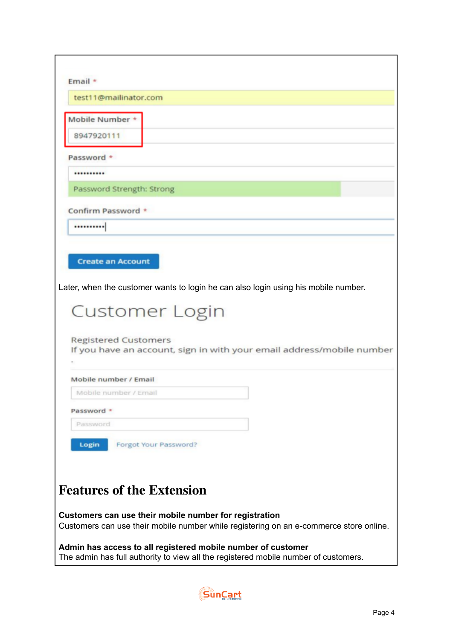| Email *                                                                                                                                             |
|-----------------------------------------------------------------------------------------------------------------------------------------------------|
| test11@mailinator.com                                                                                                                               |
| Mobile Number *                                                                                                                                     |
| 8947920111                                                                                                                                          |
| Password *                                                                                                                                          |
|                                                                                                                                                     |
| Password Strength: Strong                                                                                                                           |
| Confirm Password *                                                                                                                                  |
|                                                                                                                                                     |
|                                                                                                                                                     |
| <b>Create an Account</b>                                                                                                                            |
|                                                                                                                                                     |
| Later, when the customer wants to login he can also login using his mobile number.                                                                  |
|                                                                                                                                                     |
| <b>Customer Login</b>                                                                                                                               |
|                                                                                                                                                     |
| <b>Registered Customers</b><br>If you have an account, sign in with your email address/mobile number                                                |
|                                                                                                                                                     |
| Mobile number / Email                                                                                                                               |
| Mobile number / Email                                                                                                                               |
| Password *                                                                                                                                          |
| Password                                                                                                                                            |
| Forgot Your Password?<br>Login                                                                                                                      |
|                                                                                                                                                     |
|                                                                                                                                                     |
|                                                                                                                                                     |
| <b>Features of the Extension</b>                                                                                                                    |
| Customers can use their mobile number for registration<br>Customers can use their mobile number while registering on an e-commerce store online.    |
| Admin has access to all registered mobile number of customer<br>The admin has full authority to view all the registered mobile number of customers. |